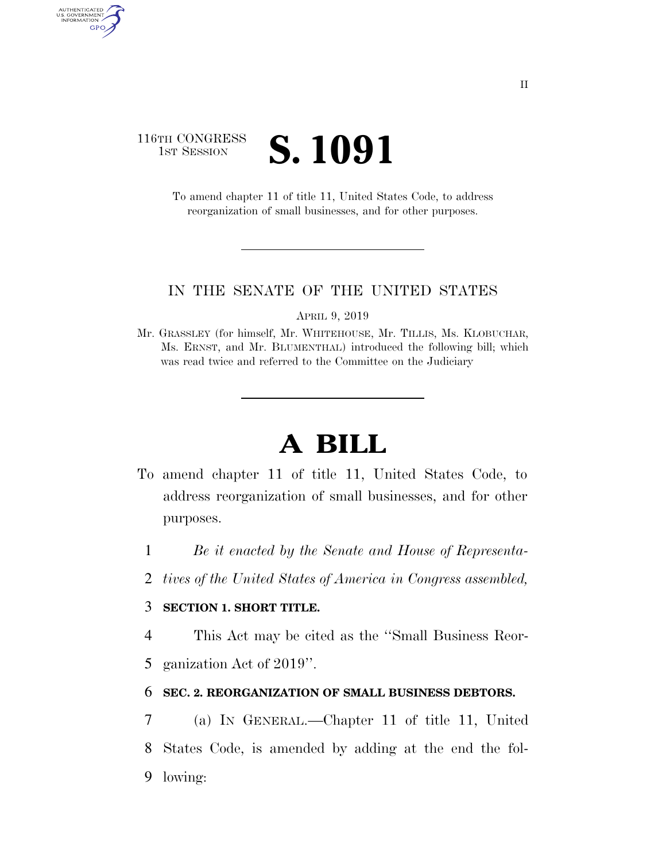### 116TH CONGRESS **1ST SESSION S. 1091**

AUTHENTICATED<br>U.S. GOVERNMENT<br>INFORMATION GPO

> To amend chapter 11 of title 11, United States Code, to address reorganization of small businesses, and for other purposes.

#### IN THE SENATE OF THE UNITED STATES

APRIL 9, 2019

Mr. GRASSLEY (for himself, Mr. WHITEHOUSE, Mr. TILLIS, Ms. KLOBUCHAR, Ms. ERNST, and Mr. BLUMENTHAL) introduced the following bill; which was read twice and referred to the Committee on the Judiciary

# **A BILL**

- To amend chapter 11 of title 11, United States Code, to address reorganization of small businesses, and for other purposes.
	- 1 *Be it enacted by the Senate and House of Representa-*
	- 2 *tives of the United States of America in Congress assembled,*

#### 3 **SECTION 1. SHORT TITLE.**

4 This Act may be cited as the ''Small Business Reor-

5 ganization Act of 2019''.

#### 6 **SEC. 2. REORGANIZATION OF SMALL BUSINESS DEBTORS.**

7 (a) IN GENERAL.—Chapter 11 of title 11, United 8 States Code, is amended by adding at the end the fol-9 lowing: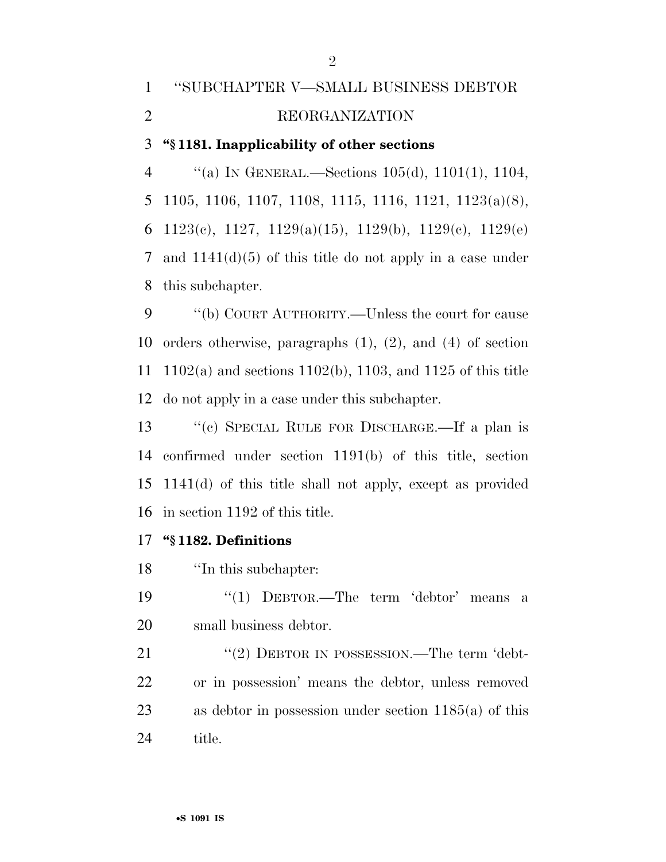# ''SUBCHAPTER V—SMALL BUSINESS DEBTOR REORGANIZATION

#### **''§ 1181. Inapplicability of other sections**

 ''(a) IN GENERAL.—Sections 105(d), 1101(1), 1104, 1105, 1106, 1107, 1108, 1115, 1116, 1121, 1123(a)(8), 6 1123(c), 1127, 1129(a)(15), 1129(b), 1129(c), 1129(e) and 1141(d)(5) of this title do not apply in a case under this subchapter.

 ''(b) COURT AUTHORITY.—Unless the court for cause orders otherwise, paragraphs (1), (2), and (4) of section 1102(a) and sections 1102(b), 1103, and 1125 of this title do not apply in a case under this subchapter.

 ''(c) SPECIAL RULE FOR DISCHARGE.—If a plan is confirmed under section 1191(b) of this title, section 1141(d) of this title shall not apply, except as provided in section 1192 of this title.

#### **''§ 1182. Definitions**

''In this subchapter:

 ''(1) DEBTOR.—The term 'debtor' means a small business debtor.

21 "(2) DEBTOR IN POSSESSION.—The term 'debt- or in possession' means the debtor, unless removed as debtor in possession under section 1185(a) of this title.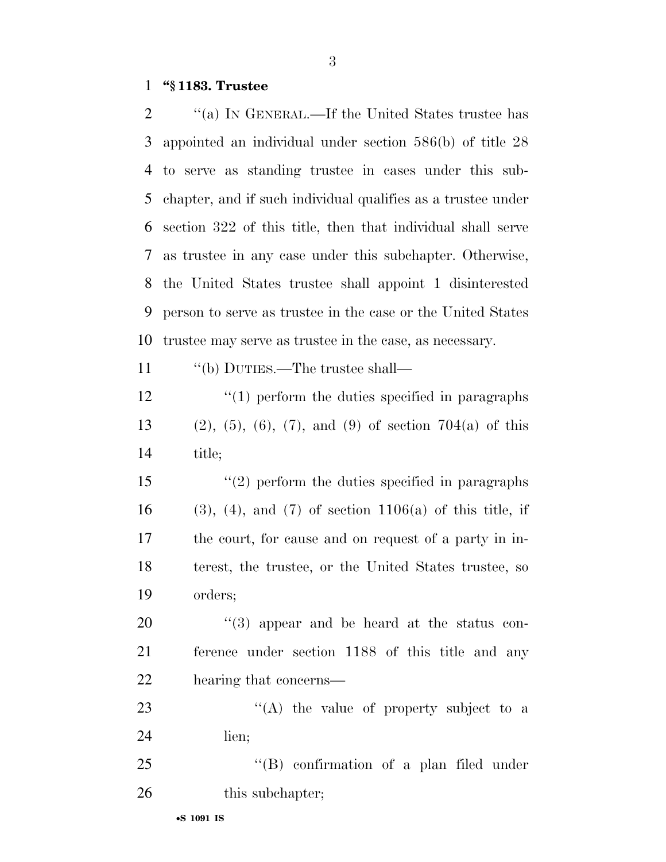## **''§ 1183. Trustee**

| 2  | "(a) IN GENERAL.—If the United States trustee has                  |
|----|--------------------------------------------------------------------|
| 3  | appointed an individual under section $586(b)$ of title 28         |
| 4  | to serve as standing trustee in cases under this sub-              |
| 5  | chapter, and if such individual qualifies as a trustee under       |
| 6  | section 322 of this title, then that individual shall serve        |
| 7  | as trustee in any case under this subchapter. Otherwise,           |
| 8  | the United States trustee shall appoint 1 disinterested            |
| 9  | person to serve as trustee in the case or the United States        |
| 10 | trustee may serve as trustee in the case, as necessary.            |
| 11 | "(b) DUTIES.—The trustee shall—                                    |
| 12 | $\lq(1)$ perform the duties specified in paragraphs                |
| 13 | $(2), (5), (6), (7), \text{ and } (9)$ of section $704(a)$ of this |
| 14 | title;                                                             |
| 15 | $\lq(2)$ perform the duties specified in paragraphs                |
| 16 | $(3)$ , $(4)$ , and $(7)$ of section 1106(a) of this title, if     |
| 17 | the court, for cause and on request of a party in in-              |
| 18 | terest, the trustee, or the United States trustee, so              |
| 19 | orders;                                                            |
| 20 | $(3)$ appear and be heard at the status con-                       |
| 21 | ference under section 1188 of this title and any                   |
| 22 | hearing that concerns—                                             |
| 23 | "(A) the value of property subject to a                            |
| 24 | lien;                                                              |
| 25 | $\lq\lq$ confirmation of a plan filed under                        |
| 26 | this subchapter;                                                   |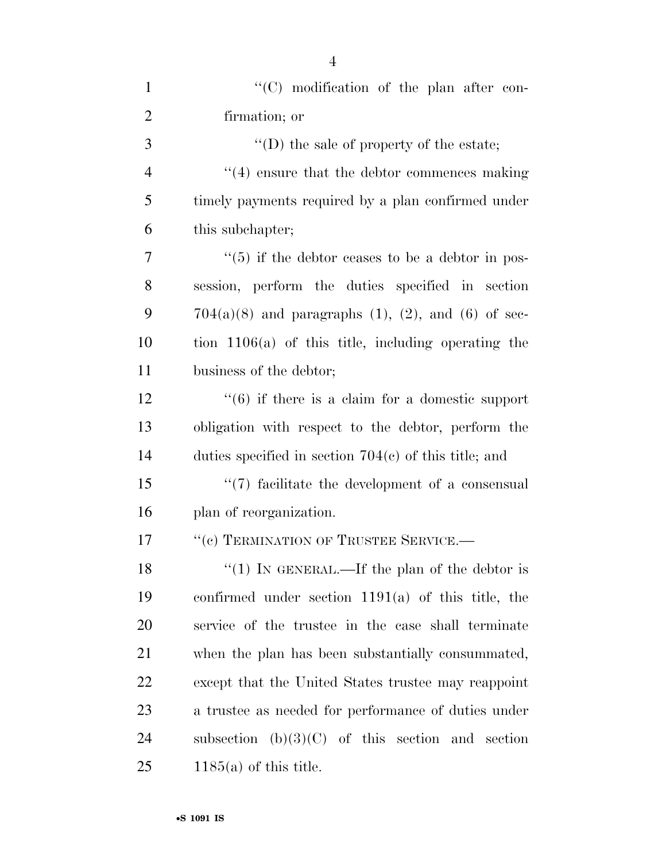| $\mathbf{1}$   | "(C) modification of the plan after con-                        |
|----------------|-----------------------------------------------------------------|
| $\overline{2}$ | firmation; or                                                   |
| 3              | $\lq\lq$ (D) the sale of property of the estate;                |
| $\overline{4}$ | $\cdot$ (4) ensure that the debtor commences making             |
| 5              | timely payments required by a plan confirmed under              |
| 6              | this subchapter;                                                |
| 7              | $\cdot\cdot$ (5) if the debtor ceases to be a debtor in pos-    |
| 8              | session, perform the duties specified in section                |
| 9              | $704(a)(8)$ and paragraphs $(1)$ , $(2)$ , and $(6)$ of sec-    |
| 10             | tion $1106(a)$ of this title, including operating the           |
| 11             | business of the debtor;                                         |
| 12             | $\cdot\cdot\cdot(6)$ if there is a claim for a domestic support |
| 13             | obligation with respect to the debtor, perform the              |
| 14             | duties specified in section $704(c)$ of this title; and         |
| 15             | $\lq(7)$ facilitate the development of a consensual             |
| 16             | plan of reorganization.                                         |
| 17             | "(c) TERMINATION OF TRUSTEE SERVICE.-                           |
| 18             | "(1) IN GENERAL.—If the plan of the debtor is                   |
| 19             | confirmed under section $1191(a)$ of this title, the            |
| 20             | service of the trustee in the case shall terminate              |
| 21             | when the plan has been substantially consummated,               |
| 22             | except that the United States trustee may reappoint             |
| 23             | a trustee as needed for performance of duties under             |
| 24             | subsection $(b)(3)(C)$ of this section and section              |
| 25             | $1185(a)$ of this title.                                        |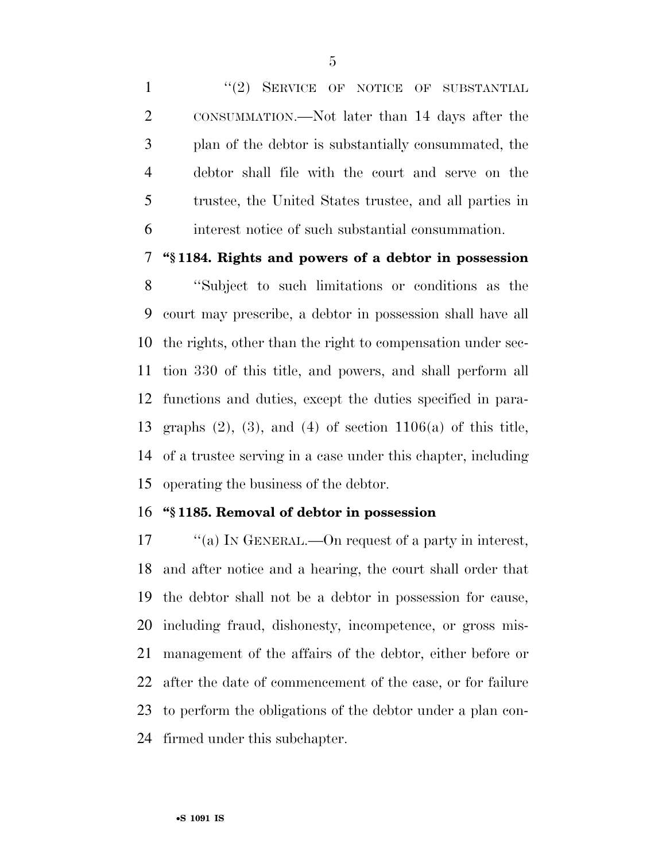1 "(2) SERVICE OF NOTICE OF SUBSTANTIAL CONSUMMATION.—Not later than 14 days after the plan of the debtor is substantially consummated, the debtor shall file with the court and serve on the trustee, the United States trustee, and all parties in interest notice of such substantial consummation.

#### **''§ 1184. Rights and powers of a debtor in possession**

 ''Subject to such limitations or conditions as the court may prescribe, a debtor in possession shall have all the rights, other than the right to compensation under sec- tion 330 of this title, and powers, and shall perform all functions and duties, except the duties specified in para-13 graphs  $(2)$ ,  $(3)$ , and  $(4)$  of section 1106(a) of this title, of a trustee serving in a case under this chapter, including operating the business of the debtor.

#### **''§ 1185. Removal of debtor in possession**

17 "(a) IN GENERAL.—On request of a party in interest, and after notice and a hearing, the court shall order that the debtor shall not be a debtor in possession for cause, including fraud, dishonesty, incompetence, or gross mis- management of the affairs of the debtor, either before or after the date of commencement of the case, or for failure to perform the obligations of the debtor under a plan con-firmed under this subchapter.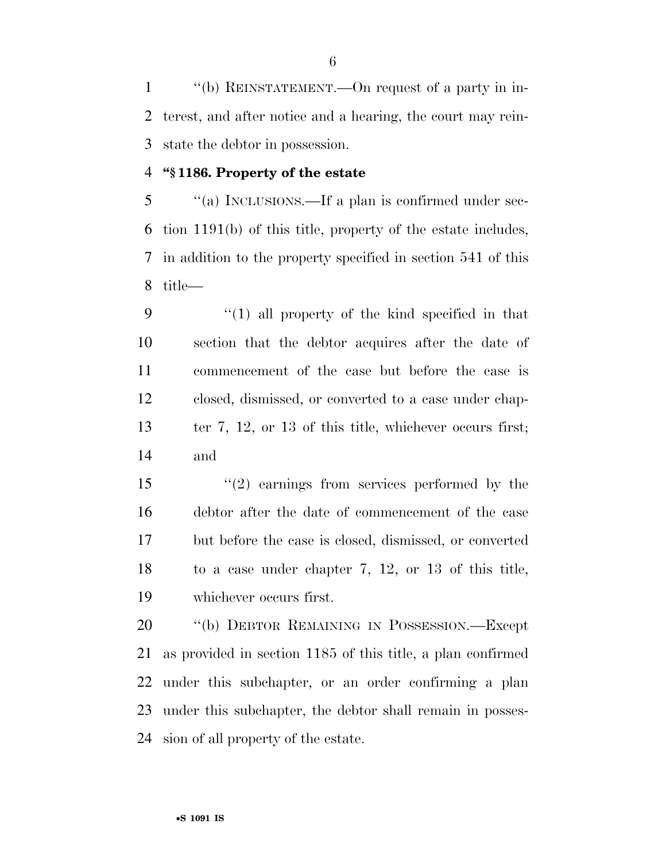''(b) REINSTATEMENT.—On request of a party in in- terest, and after notice and a hearing, the court may rein-state the debtor in possession.

#### **''§ 1186. Property of the estate**

 ''(a) INCLUSIONS.—If a plan is confirmed under sec- tion 1191(b) of this title, property of the estate includes, in addition to the property specified in section 541 of this title—

 ''(1) all property of the kind specified in that section that the debtor acquires after the date of commencement of the case but before the case is closed, dismissed, or converted to a case under chap-13 ter 7, 12, or 13 of this title, whichever occurs first; and

 ''(2) earnings from services performed by the debtor after the date of commencement of the case but before the case is closed, dismissed, or converted to a case under chapter 7, 12, or 13 of this title, whichever occurs first.

 ''(b) DEBTOR REMAINING IN POSSESSION.—Except as provided in section 1185 of this title, a plan confirmed under this subchapter, or an order confirming a plan under this subchapter, the debtor shall remain in posses-sion of all property of the estate.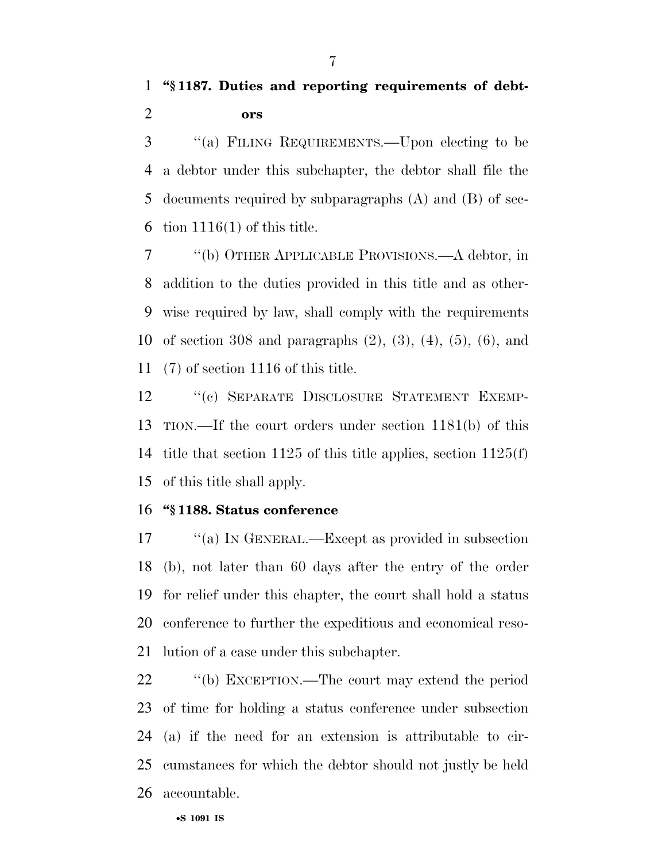''(a) FILING REQUIREMENTS.—Upon electing to be a debtor under this subchapter, the debtor shall file the documents required by subparagraphs (A) and (B) of sec-6 tion  $1116(1)$  of this title.

 ''(b) OTHER APPLICABLE PROVISIONS.—A debtor, in addition to the duties provided in this title and as other- wise required by law, shall comply with the requirements of section 308 and paragraphs (2), (3), (4), (5), (6), and (7) of section 1116 of this title.

12 "(c) SEPARATE DISCLOSURE STATEMENT EXEMP- TION.—If the court orders under section 1181(b) of this title that section 1125 of this title applies, section 1125(f) of this title shall apply.

#### **''§ 1188. Status conference**

17 "(a) IN GENERAL.—Except as provided in subsection (b), not later than 60 days after the entry of the order for relief under this chapter, the court shall hold a status conference to further the expeditious and economical reso-lution of a case under this subchapter.

 ''(b) EXCEPTION.—The court may extend the period of time for holding a status conference under subsection (a) if the need for an extension is attributable to cir- cumstances for which the debtor should not justly be held accountable.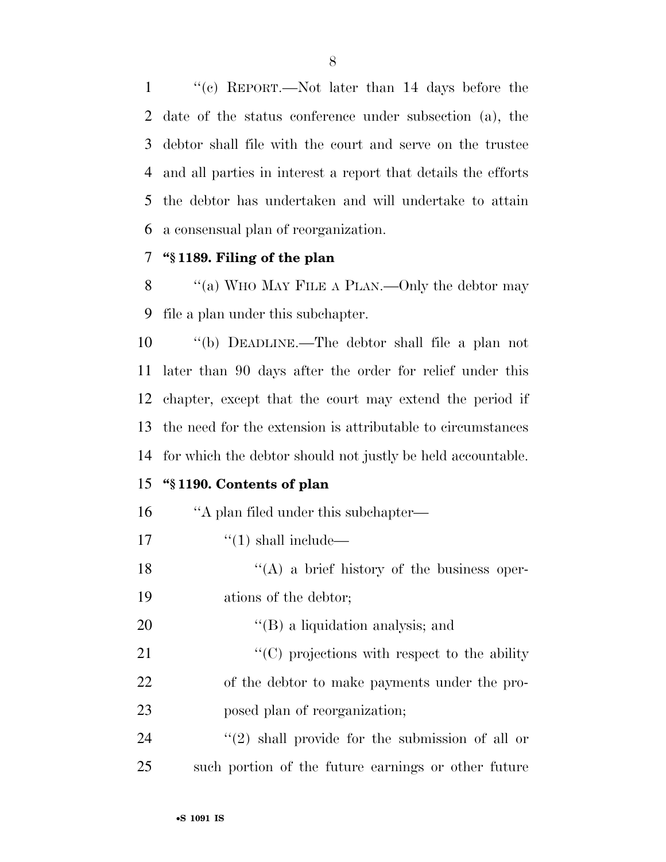''(c) REPORT.—Not later than 14 days before the date of the status conference under subsection (a), the debtor shall file with the court and serve on the trustee and all parties in interest a report that details the efforts the debtor has undertaken and will undertake to attain a consensual plan of reorganization.

#### **''§ 1189. Filing of the plan**

8 "(a) WHO MAY FILE A PLAN.—Only the debtor may file a plan under this subchapter.

 ''(b) DEADLINE.—The debtor shall file a plan not later than 90 days after the order for relief under this chapter, except that the court may extend the period if the need for the extension is attributable to circumstances for which the debtor should not justly be held accountable.

#### **''§ 1190. Contents of plan**

- ''A plan filed under this subchapter—
- 17  $\frac{1}{2}$   $\frac{1}{2}$  shall include—
- 18 ''(A) a brief history of the business oper-ations of the debtor;
- 20  $(1)$  a liquidation analysis; and
- 21  $\cdot$  (C) projections with respect to the ability of the debtor to make payments under the pro-posed plan of reorganization;
- 24 ''(2) shall provide for the submission of all or such portion of the future earnings or other future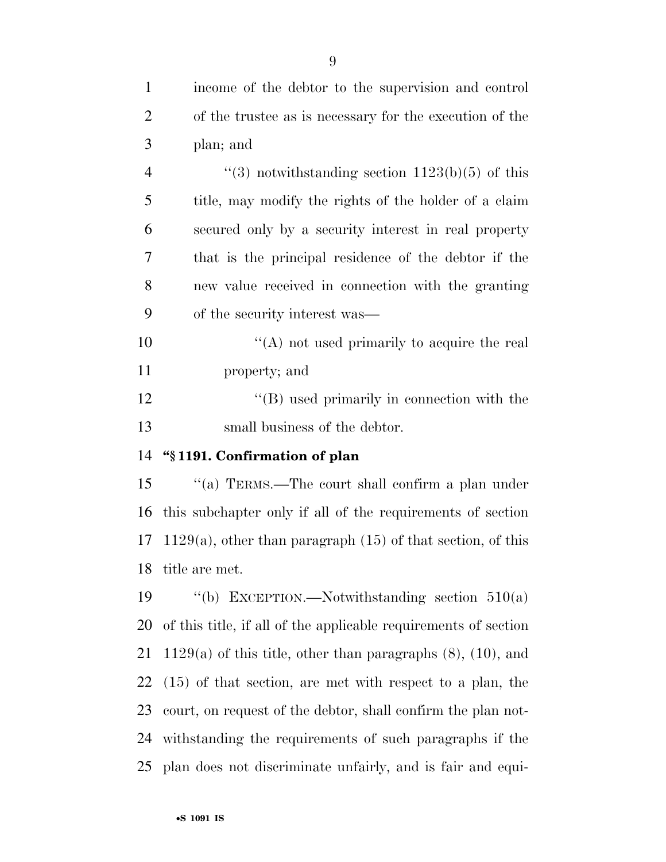| $\mathbf{1}$   | income of the debtor to the supervision and control                 |
|----------------|---------------------------------------------------------------------|
| $\overline{c}$ | of the trustee as is necessary for the execution of the             |
| 3              | plan; and                                                           |
| $\overline{4}$ | "(3) notwithstanding section $1123(b)(5)$ of this                   |
| 5              | title, may modify the rights of the holder of a claim               |
| 6              | secured only by a security interest in real property                |
| 7              | that is the principal residence of the debtor if the                |
| 8              | new value received in connection with the granting                  |
| 9              | of the security interest was—                                       |
| 10             | "(A) not used primarily to acquire the real                         |
| 11             | property; and                                                       |
| 12             | $\lq\lq (B)$ used primarily in connection with the                  |
| 13             | small business of the debtor.                                       |
| 14             | "§1191. Confirmation of plan                                        |
| 15             | "(a) TERMS.—The court shall confirm a plan under                    |
| 16             | this subchapter only if all of the requirements of section          |
| 17             | $1129(a)$ , other than paragraph $(15)$ of that section, of this    |
| 18             | title are met.                                                      |
| 19             | "(b) EXCEPTION.—Notwithstanding section $510(a)$                    |
| 20             | of this title, if all of the applicable requirements of section     |
| 21             | $1129(a)$ of this title, other than paragraphs $(8)$ , $(10)$ , and |
| 22             | $(15)$ of that section, are met with respect to a plan, the         |
| 23             | court, on request of the debtor, shall confirm the plan not-        |
| 24             |                                                                     |

plan does not discriminate unfairly, and is fair and equi-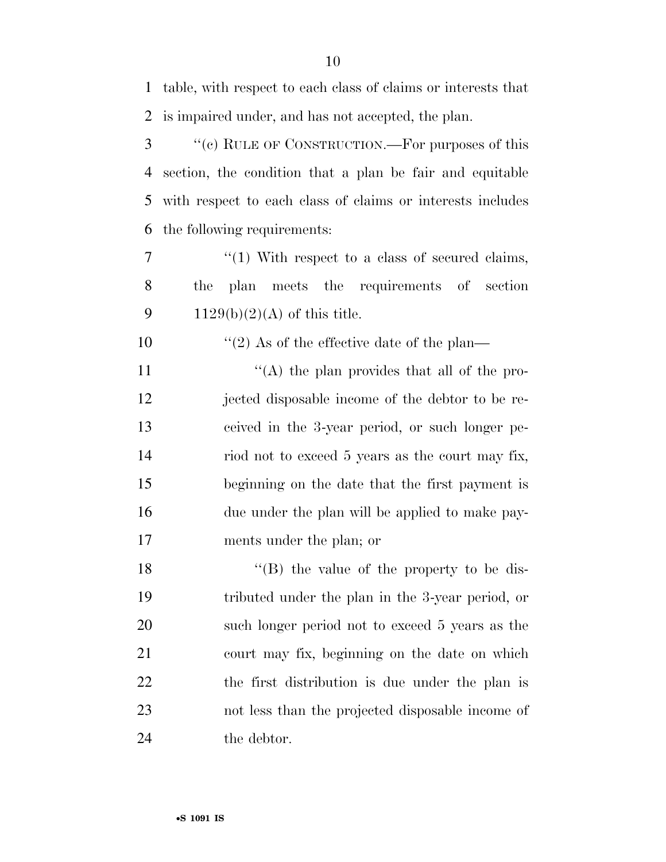| 1  | table, with respect to each class of claims or interests that |
|----|---------------------------------------------------------------|
| 2  | is impaired under, and has not accepted, the plan.            |
| 3  | "(c) RULE OF CONSTRUCTION.—For purposes of this               |
| 4  | section, the condition that a plan be fair and equitable      |
| 5  | with respect to each class of claims or interests includes    |
| 6  | the following requirements:                                   |
| 7  | $\lq(1)$ With respect to a class of secured claims,           |
| 8  | plan meets the requirements of section<br>the                 |
| 9  | $1129(b)(2)(A)$ of this title.                                |
| 10 | "(2) As of the effective date of the plan—                    |
| 11 | "(A) the plan provides that all of the pro-                   |
| 12 | jected disposable income of the debtor to be re-              |
| 13 | ceived in the 3-year period, or such longer pe-               |
| 14 | riod not to exceed 5 years as the court may fix,              |
| 15 | beginning on the date that the first payment is               |
| 16 | due under the plan will be applied to make pay-               |
| 17 | ments under the plan; or                                      |
| 18 | "(B) the value of the property to be dis-                     |
| 19 | tributed under the plan in the 3-year period, or              |
| 20 | such longer period not to exceed 5 years as the               |
| 21 | court may fix, beginning on the date on which                 |
| 22 | the first distribution is due under the plan is               |
| 23 | not less than the projected disposable income of              |
| 24 | the debtor.                                                   |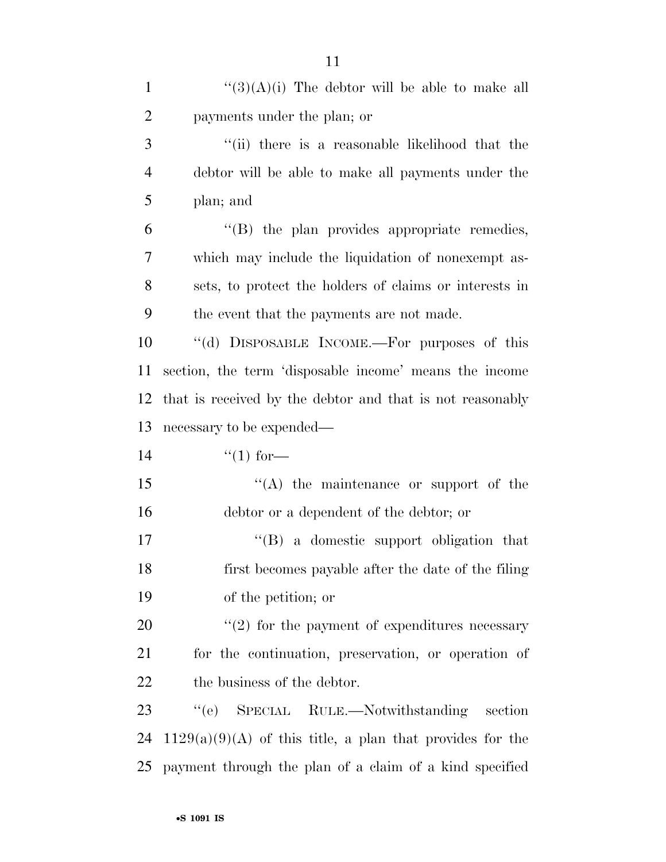| $\mathbf{1}$   | " $(3)(A)(i)$ The debtor will be able to make all           |
|----------------|-------------------------------------------------------------|
| $\overline{2}$ | payments under the plan; or                                 |
| 3              | "(ii) there is a reasonable likelihood that the             |
| 4              | debtor will be able to make all payments under the          |
| 5              | plan; and                                                   |
| 6              | "(B) the plan provides appropriate remedies,                |
| $\overline{7}$ | which may include the liquidation of nonexempt as-          |
| 8              | sets, to protect the holders of claims or interests in      |
| 9              | the event that the payments are not made.                   |
| 10             | "(d) DISPOSABLE INCOME.—For purposes of this                |
| 11             | section, the term 'disposable income' means the income      |
| 12             | that is received by the debtor and that is not reasonably   |
| 13             | necessary to be expended—                                   |
| 14             | $\lq(1)$ for—                                               |
| 15             | $\lq\lq$ the maintenance or support of the                  |
| 16             | debtor or a dependent of the debtor; or                     |
| 17             | $\lq\lq(B)$ a domestic support obligation that              |
| 18             | first becomes payable after the date of the filing          |
| 19             | of the petition; or                                         |
| 20             | $\lq(2)$ for the payment of expenditures necessary          |
| 21             | for the continuation, preservation, or operation of         |
| 22             | the business of the debtor.                                 |
| 23             | ``(e)<br>SPECIAL RULE.—Notwithstanding section              |
| 24             | $1129(a)(9)(A)$ of this title, a plan that provides for the |
| 25             | payment through the plan of a claim of a kind specified     |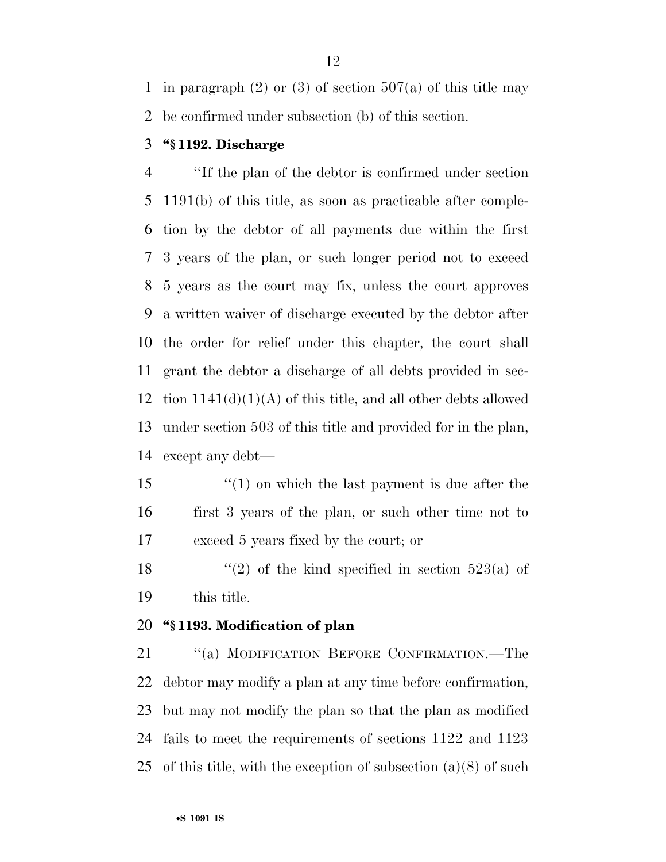1 in paragraph (2) or (3) of section  $507(a)$  of this title may be confirmed under subsection (b) of this section.

#### **''§ 1192. Discharge**

 ''If the plan of the debtor is confirmed under section 1191(b) of this title, as soon as practicable after comple- tion by the debtor of all payments due within the first 3 years of the plan, or such longer period not to exceed 5 years as the court may fix, unless the court approves a written waiver of discharge executed by the debtor after the order for relief under this chapter, the court shall grant the debtor a discharge of all debts provided in sec-12 tion  $1141(d)(1)(A)$  of this title, and all other debts allowed under section 503 of this title and provided for in the plan, except any debt—

 ''(1) on which the last payment is due after the first 3 years of the plan, or such other time not to exceed 5 years fixed by the court; or

18  $\frac{12}{2}$  of the kind specified in section 523(a) of this title.

#### **''§ 1193. Modification of plan**

21 "(a) MODIFICATION BEFORE CONFIRMATION.—The debtor may modify a plan at any time before confirmation, but may not modify the plan so that the plan as modified fails to meet the requirements of sections 1122 and 1123 25 of this title, with the exception of subsection  $(a)(8)$  of such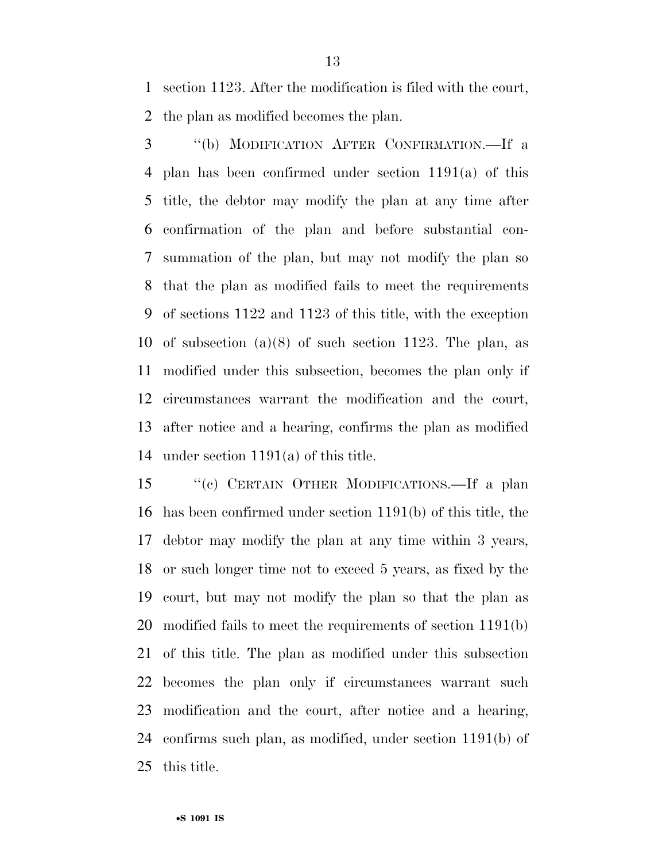section 1123. After the modification is filed with the court, the plan as modified becomes the plan.

 ''(b) MODIFICATION AFTER CONFIRMATION.—If a plan has been confirmed under section 1191(a) of this title, the debtor may modify the plan at any time after confirmation of the plan and before substantial con- summation of the plan, but may not modify the plan so that the plan as modified fails to meet the requirements of sections 1122 and 1123 of this title, with the exception of subsection (a)(8) of such section 1123. The plan, as modified under this subsection, becomes the plan only if circumstances warrant the modification and the court, after notice and a hearing, confirms the plan as modified under section 1191(a) of this title.

 ''(c) CERTAIN OTHER MODIFICATIONS.—If a plan has been confirmed under section 1191(b) of this title, the debtor may modify the plan at any time within 3 years, or such longer time not to exceed 5 years, as fixed by the court, but may not modify the plan so that the plan as modified fails to meet the requirements of section 1191(b) of this title. The plan as modified under this subsection becomes the plan only if circumstances warrant such modification and the court, after notice and a hearing, confirms such plan, as modified, under section 1191(b) of this title.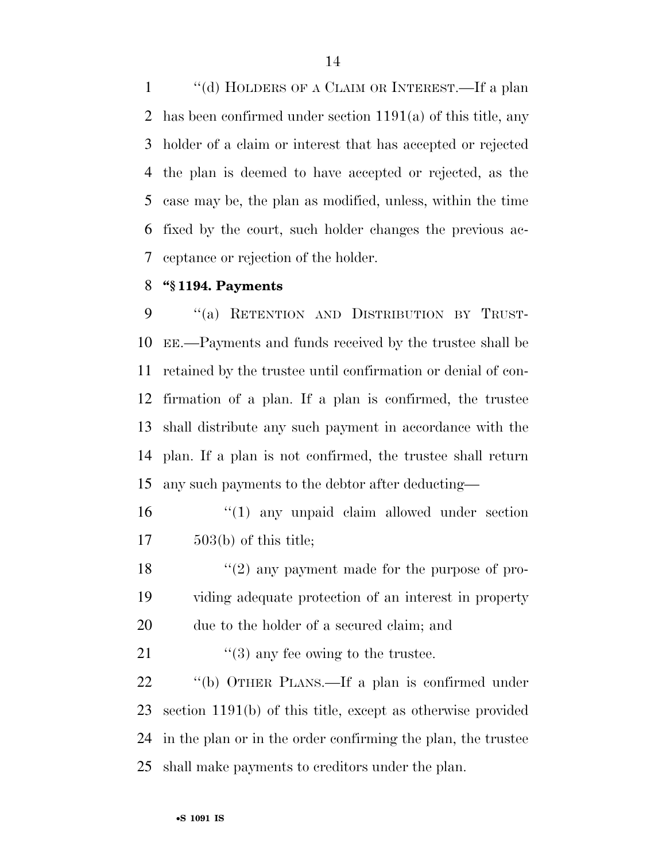''(d) HOLDERS OF A CLAIM OR INTEREST.—If a plan has been confirmed under section 1191(a) of this title, any holder of a claim or interest that has accepted or rejected the plan is deemed to have accepted or rejected, as the case may be, the plan as modified, unless, within the time fixed by the court, such holder changes the previous ac-ceptance or rejection of the holder.

#### **''§ 1194. Payments**

 ''(a) RETENTION AND DISTRIBUTION BY TRUST- EE.—Payments and funds received by the trustee shall be retained by the trustee until confirmation or denial of con- firmation of a plan. If a plan is confirmed, the trustee shall distribute any such payment in accordance with the plan. If a plan is not confirmed, the trustee shall return any such payments to the debtor after deducting—

 ''(1) any unpaid claim allowed under section 503(b) of this title;

18 ''(2) any payment made for the purpose of pro- viding adequate protection of an interest in property due to the holder of a secured claim; and

21  $\frac{1}{2}$   $\frac{1}{2}$  any fee owing to the trustee.

22 "(b) OTHER PLANS.—If a plan is confirmed under section 1191(b) of this title, except as otherwise provided in the plan or in the order confirming the plan, the trustee shall make payments to creditors under the plan.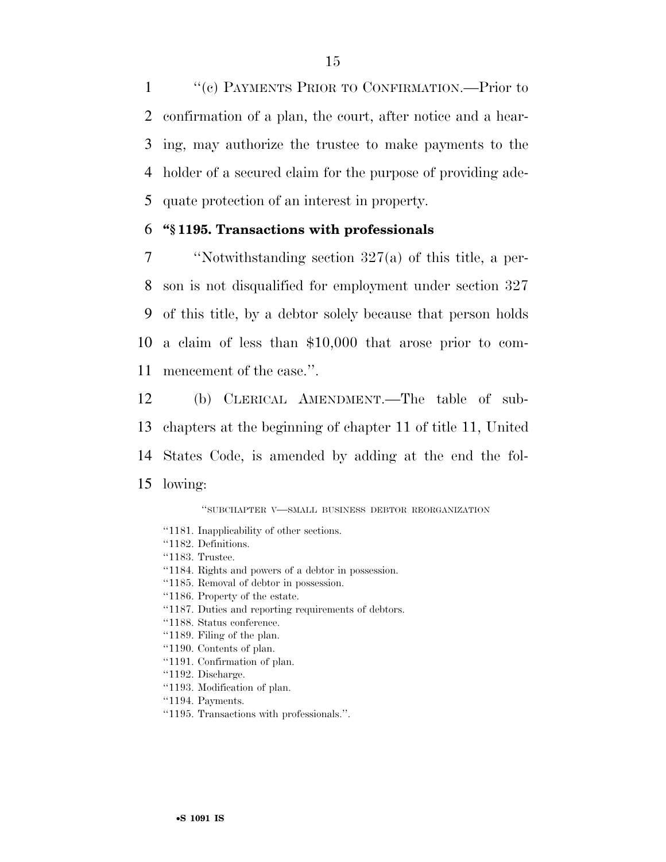''(c) PAYMENTS PRIOR TO CONFIRMATION.—Prior to confirmation of a plan, the court, after notice and a hear- ing, may authorize the trustee to make payments to the holder of a secured claim for the purpose of providing ade-quate protection of an interest in property.

#### 6 **''§ 1195. Transactions with professionals**

 ''Notwithstanding section 327(a) of this title, a per- son is not disqualified for employment under section 327 of this title, by a debtor solely because that person holds a claim of less than \$10,000 that arose prior to com-mencement of the case.''.

 (b) CLERICAL AMENDMENT.—The table of sub- chapters at the beginning of chapter 11 of title 11, United States Code, is amended by adding at the end the fol-15 lowing:

''SUBCHAPTER V—SMALL BUSINESS DEBTOR REORGANIZATION

- ''1181. Inapplicability of other sections.
- ''1182. Definitions.
- "1183. Trustee.
- ''1184. Rights and powers of a debtor in possession.
- ''1185. Removal of debtor in possession.
- ''1186. Property of the estate.
- ''1187. Duties and reporting requirements of debtors.
- ''1188. Status conference.
- ''1189. Filing of the plan.
- ''1190. Contents of plan.
- ''1191. Confirmation of plan.
- ''1192. Discharge.
- ''1193. Modification of plan.
- ''1194. Payments.
- ''1195. Transactions with professionals.''.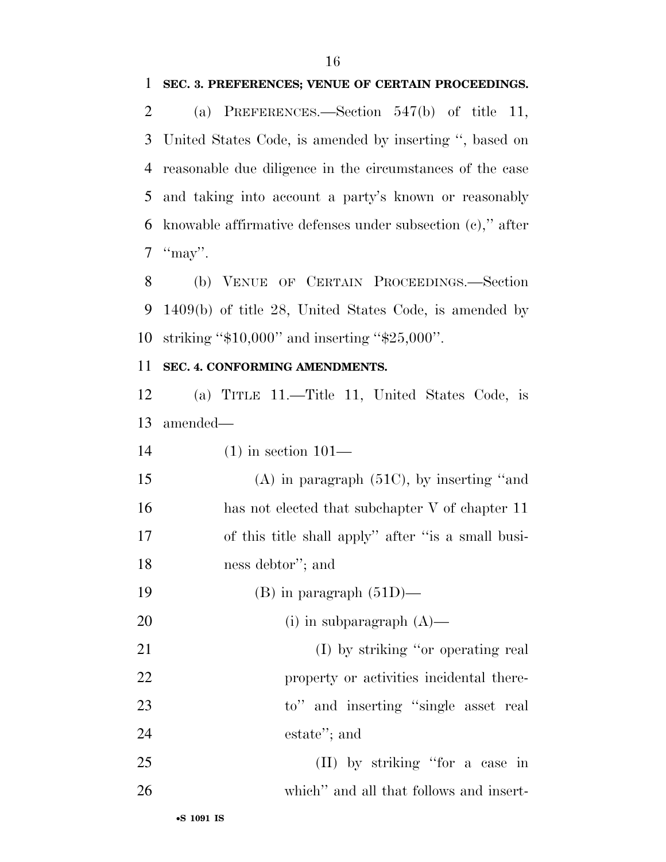#### **SEC. 3. PREFERENCES; VENUE OF CERTAIN PROCEEDINGS.**

 (a) PREFERENCES.—Section 547(b) of title 11, United States Code, is amended by inserting '', based on reasonable due diligence in the circumstances of the case and taking into account a party's known or reasonably knowable affirmative defenses under subsection (c),'' after  $\text{``may''}.$ 

 (b) VENUE OF CERTAIN PROCEEDINGS.—Section 1409(b) of title 28, United States Code, is amended by striking ''\$10,000'' and inserting ''\$25,000''.

#### **SEC. 4. CONFORMING AMENDMENTS.**

 (a) TITLE 11.—Title 11, United States Code, is amended—

(1) in section 101—

 (A) in paragraph (51C), by inserting ''and has not elected that subchapter V of chapter 11 of this title shall apply'' after ''is a small busi-ness debtor''; and

19 (B) in paragraph  $(51D)$ —

(i) in subparagraph (A)—

- (I) by striking ''or operating real 22 property or activities incidental there-23 to" and inserting "single asset real estate''; and
- (II) by striking ''for a case in which'' and all that follows and insert-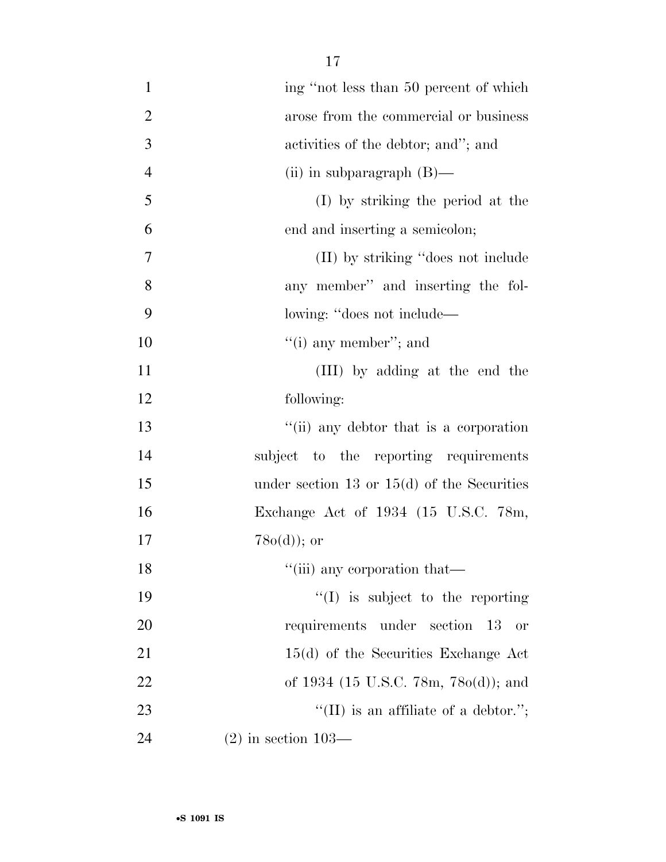| $\mathbf{1}$   | ing "not less than 50 percent of which        |
|----------------|-----------------------------------------------|
| $\overline{2}$ | arose from the commercial or business         |
| 3              | activities of the debtor; and"; and           |
| $\overline{4}$ | (ii) in subparagraph $(B)$ —                  |
| 5              | (I) by striking the period at the             |
| 6              | end and inserting a semicolon;                |
| 7              | (II) by striking "does not include            |
| 8              | any member" and inserting the fol-            |
| 9              | lowing: "does not include—                    |
| 10             | $"$ (i) any member"; and                      |
| 11             | (III) by adding at the end the                |
| 12             | following:                                    |
| 13             | "(ii) any debtor that is a corporation        |
| 14             | subject to the reporting requirements         |
| 15             | under section 13 or $15(d)$ of the Securities |
| 16             | Exchange Act of 1934 (15 U.S.C. 78m,          |
| 17             | $78o(d)$ ; or                                 |
| 18             | "(iii) any corporation that-                  |
| 19             | $\lq\lq$ is subject to the reporting          |
| 20             | requirements under section 13<br>or           |
| 21             | $15(d)$ of the Securities Exchange Act        |
| 22             | of 1934 (15 U.S.C. 78m, 78 $o(d)$ ); and      |
| 23             | "(II) is an affiliate of a debtor.";          |
| 24             | $(2)$ in section 103—                         |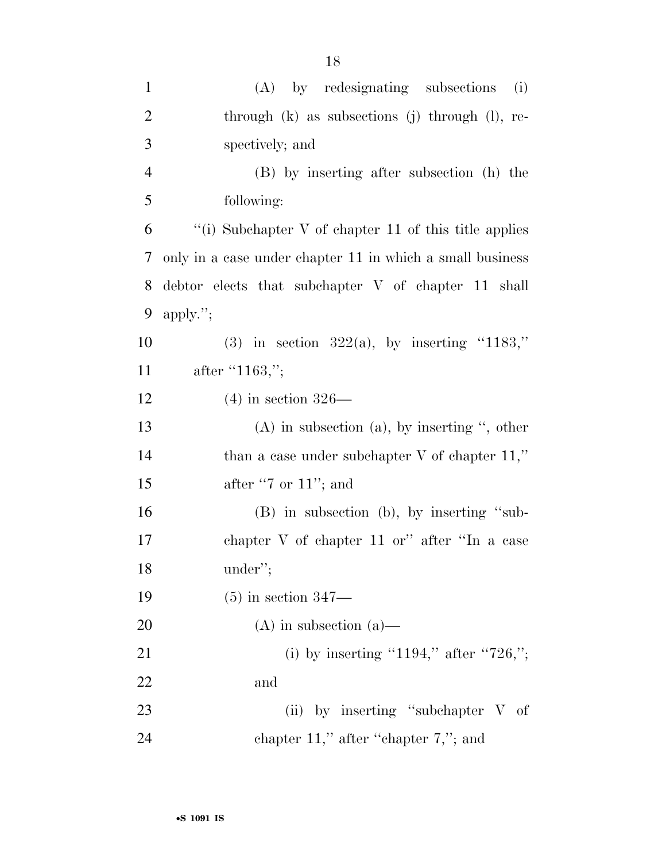| $\mathbf{1}$   | (A) by redesignating subsections<br>(i)                   |
|----------------|-----------------------------------------------------------|
| $\overline{c}$ | through $(k)$ as subsections $(j)$ through $(l)$ , re-    |
| 3              | spectively; and                                           |
| 4              | (B) by inserting after subsection (h) the                 |
| 5              | following:                                                |
| 6              | "(i) Subchapter V of chapter 11 of this title applies     |
| 7              | only in a case under chapter 11 in which a small business |
| 8              | debtor elects that subchapter V of chapter 11 shall       |
| 9              | apply.";                                                  |
| 10             | (3) in section $322(a)$ , by inserting "1183,"            |
| 11             | after $"1163,"$                                           |
| 12             | $(4)$ in section 326—                                     |
| 13             | $(A)$ in subsection $(a)$ , by inserting ", other         |
| 14             | than a case under subchapter $V$ of chapter 11,"          |
| 15             | after "7 or $11$ "; and                                   |
| 16             | (B) in subsection (b), by inserting "sub-                 |
| 17             | chapter V of chapter 11 or" after "In a case              |
| 18             | under";                                                   |
| 19             | $(5)$ in section 347—                                     |
| 20             | $(A)$ in subsection $(a)$ —                               |
| 21             | (i) by inserting "1194," after "726,";                    |
| 22             | and                                                       |
| 23             | (ii) by inserting "subchapter $V$ of                      |
| 24             | chapter $11$ ," after "chapter $7$ ,"; and                |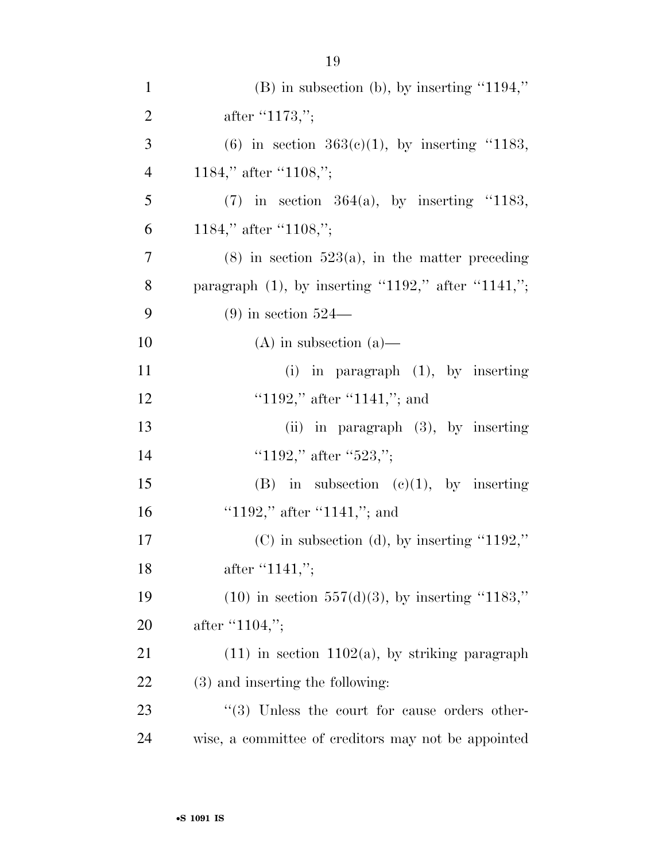| $\mathbf{1}$   | $(B)$ in subsection (b), by inserting "1194,"         |
|----------------|-------------------------------------------------------|
| $\overline{2}$ | after " $1173$ ,";                                    |
| 3              | (6) in section $363(c)(1)$ , by inserting "1183,      |
| $\overline{4}$ | 1184," after "1108,";                                 |
| 5              | $(7)$ in section 364(a), by inserting "1183,          |
| 6              | 1184," after "1108,";                                 |
| 7              | $(8)$ in section 523(a), in the matter preceding      |
| 8              | paragraph $(1)$ , by inserting "1192," after "1141,"; |
| 9              | $(9)$ in section 524—                                 |
| 10             | $(A)$ in subsection $(a)$ —                           |
| 11             | (i) in paragraph $(1)$ , by inserting                 |
| 12             | "1192," after "1141,"; and                            |
| 13             | (ii) in paragraph $(3)$ , by inserting                |
| 14             | "1192," after "523,";                                 |
| 15             | in subsection $(c)(1)$ , by inserting<br>(B)          |
| 16             | "1192," after "1141,"; and                            |
| 17             | $(C)$ in subsection (d), by inserting "1192,"         |
| 18             | after $"1141,"$ ;                                     |
| 19             | $(10)$ in section 557(d)(3), by inserting "1183,"     |
| 20             | after $"1104,"$                                       |
| 21             | $(11)$ in section 1102(a), by striking paragraph      |
| 22             | (3) and inserting the following:                      |
| 23             | "(3) Unless the court for cause orders other-         |
| 24             | wise, a committee of creditors may not be appointed   |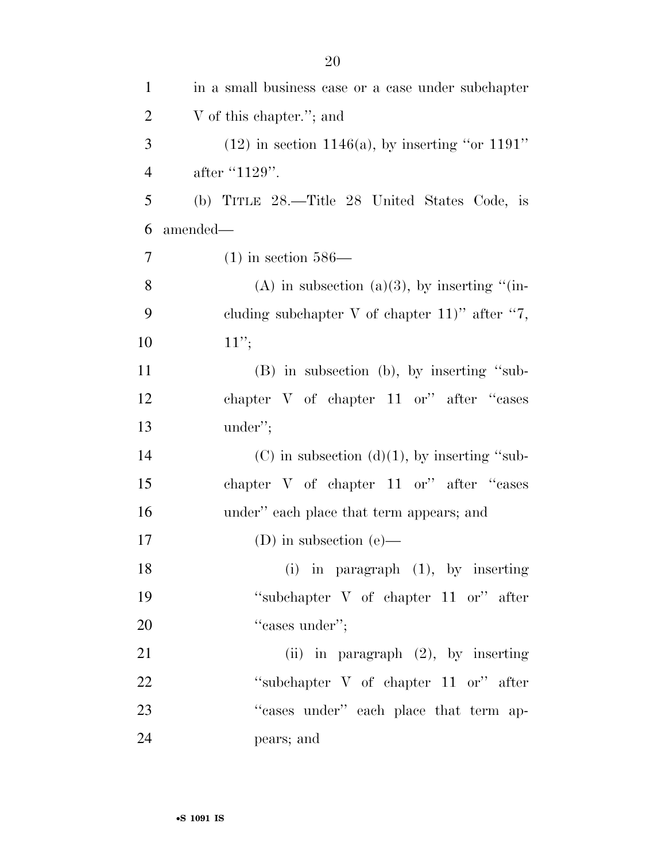| $\mathbf{1}$   | in a small business case or a case under subchapter |
|----------------|-----------------------------------------------------|
| $\overline{c}$ | V of this chapter."; and                            |
| 3              | $(12)$ in section 1146(a), by inserting "or 1191"   |
| $\overline{4}$ | after "1129".                                       |
| 5              | (b) TITLE 28.—Title 28 United States Code, is       |
| 6              | amended—                                            |
| $\overline{7}$ | $(1)$ in section 586—                               |
| 8              | (A) in subsection (a)(3), by inserting "(in-        |
| 9              | cluding subchapter V of chapter $11$ " after "7,    |
| 10             | 11";                                                |
| 11             | (B) in subsection (b), by inserting "sub-           |
| 12             | chapter V of chapter 11 or" after "cases"           |
| 13             | under";                                             |
| 14             | $(C)$ in subsection $(d)(1)$ , by inserting "sub-   |
| 15             | chapter V of chapter 11 or" after "cases            |
| 16             | under" each place that term appears; and            |
| 17             | (D) in subsection (e)—                              |
| 18             | (i) in paragraph $(1)$ , by inserting               |
| 19             | "subchapter $V$ of chapter 11 or" after             |
| 20             | "cases under";                                      |
| 21             | (ii) in paragraph $(2)$ , by inserting              |
| 22             | "subchapter $V$ of chapter 11 or" after             |
| 23             | "cases under" each place that term ap-              |
| 24             | pears; and                                          |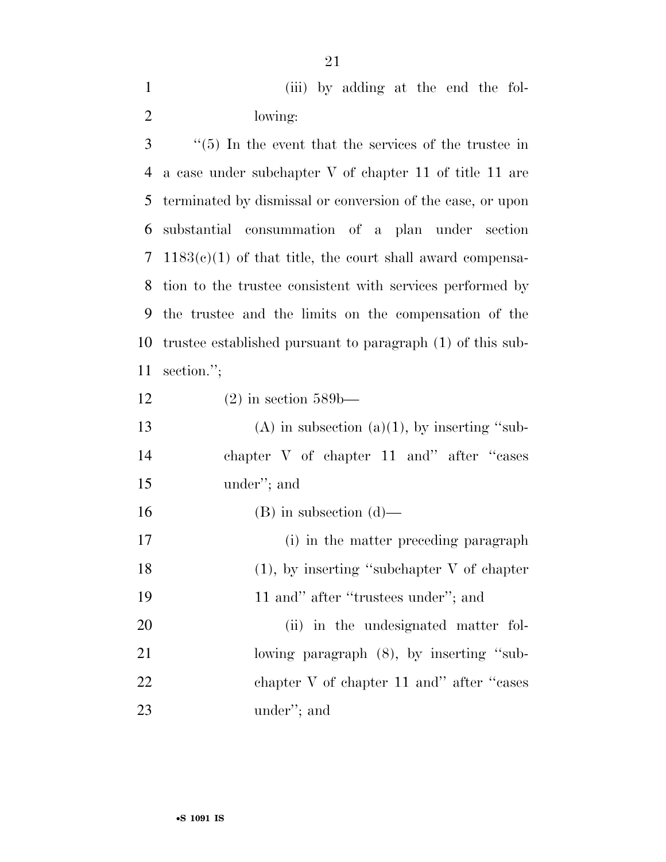(iii) by adding at the end the fol-lowing:

 ''(5) In the event that the services of the trustee in a case under subchapter V of chapter 11 of title 11 are terminated by dismissal or conversion of the case, or upon substantial consummation of a plan under section 1183(c)(1) of that title, the court shall award compensa- tion to the trustee consistent with services performed by the trustee and the limits on the compensation of the trustee established pursuant to paragraph (1) of this sub-section.'';

 (2) in section 589b— 13 (A) in subsection  $(a)(1)$ , by inserting "sub- chapter V of chapter 11 and'' after ''cases under''; and 16 (B) in subsection  $(d)$ — (i) in the matter preceding paragraph 18 (1), by inserting "subchapter V of chapter" 19 11 and" after "trustees under"; and 20 (ii) in the undesignated matter fol-21 lowing paragraph (8), by inserting "sub-22 chapter V of chapter 11 and" after "cases" under''; and